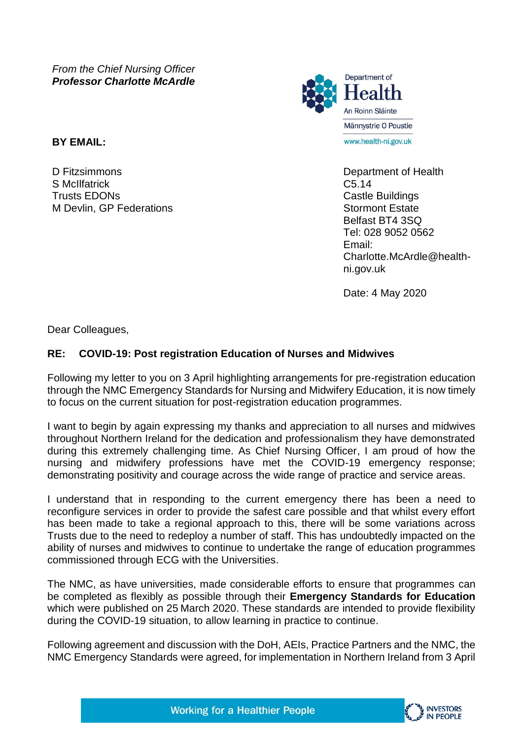*From the Chief Nursing Officer Professor Charlotte McArdle*

**BY EMAIL:**

D Fitzsimmons S McIlfatrick Trusts EDONs M Devlin, GP Federations



Department of Health C5.14 Castle Buildings Stormont Estate Belfast BT4 3SQ Tel: 028 9052 0562 Email: Charlotte.McArdle@healthni.gov.uk

Date: 4 May 2020

Dear Colleagues,

## **RE: COVID-19: Post registration Education of Nurses and Midwives**

Following my letter to you on 3 April highlighting arrangements for pre-registration education through the NMC Emergency Standards for Nursing and Midwifery Education, it is now timely to focus on the current situation for post-registration education programmes.

I want to begin by again expressing my thanks and appreciation to all nurses and midwives throughout Northern Ireland for the dedication and professionalism they have demonstrated during this extremely challenging time. As Chief Nursing Officer, I am proud of how the nursing and midwifery professions have met the COVID-19 emergency response; demonstrating positivity and courage across the wide range of practice and service areas.

I understand that in responding to the current emergency there has been a need to reconfigure services in order to provide the safest care possible and that whilst every effort has been made to take a regional approach to this, there will be some variations across Trusts due to the need to redeploy a number of staff. This has undoubtedly impacted on the ability of nurses and midwives to continue to undertake the range of education programmes commissioned through ECG with the Universities.

The NMC, as have universities, made considerable efforts to ensure that programmes can be completed as flexibly as possible through their **Emergency Standards for Education**  which were published on 25 March 2020. These standards are intended to provide flexibility during the COVID-19 situation, to allow learning in practice to continue.

Following agreement and discussion with the DoH, AEIs, Practice Partners and the NMC, the NMC Emergency Standards were agreed, for implementation in Northern Ireland from 3 April

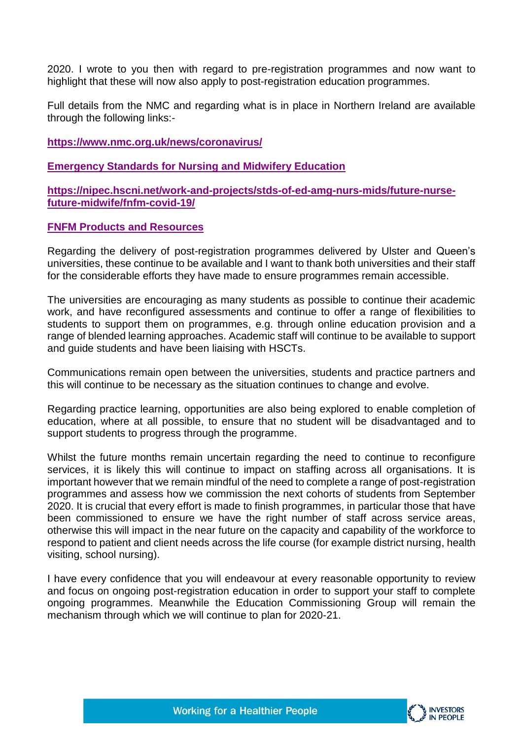2020. I wrote to you then with regard to pre-registration programmes and now want to highlight that these will now also apply to post-registration education programmes.

Full details from the NMC and regarding what is in place in Northern Ireland are available through the following links:-

## **<https://www.nmc.org.uk/news/coronavirus/>**

**[Emergency Standards for Nursing and Midwifery Education](https://www.nmc.org.uk/standards-for-education-and-training/emergency-education-standards/)**

**[https://nipec.hscni.net/work-and-projects/stds-of-ed-amg-nurs-mids/future-nurse](https://nipec.hscni.net/work-and-projects/stds-of-ed-amg-nurs-mids/future-nurse-future-midwife/fnfm-covid-19/)[future-midwife/fnfm-covid-19/](https://nipec.hscni.net/work-and-projects/stds-of-ed-amg-nurs-mids/future-nurse-future-midwife/fnfm-covid-19/)**

## **[FNFM Products and Resources](https://nipec.hscni.net/work-and-projects/stds-of-ed-amg-nurs-mids/future-nurse-future-midwife/fnfm-resources/)**

Regarding the delivery of post-registration programmes delivered by Ulster and Queen's universities, these continue to be available and I want to thank both universities and their staff for the considerable efforts they have made to ensure programmes remain accessible.

The universities are encouraging as many students as possible to continue their academic work, and have reconfigured assessments and continue to offer a range of flexibilities to students to support them on programmes, e.g. through online education provision and a range of blended learning approaches. Academic staff will continue to be available to support and guide students and have been liaising with HSCTs.

Communications remain open between the universities, students and practice partners and this will continue to be necessary as the situation continues to change and evolve.

Regarding practice learning, opportunities are also being explored to enable completion of education, where at all possible, to ensure that no student will be disadvantaged and to support students to progress through the programme.

Whilst the future months remain uncertain regarding the need to continue to reconfigure services, it is likely this will continue to impact on staffing across all organisations. It is important however that we remain mindful of the need to complete a range of post-registration programmes and assess how we commission the next cohorts of students from September 2020. It is crucial that every effort is made to finish programmes, in particular those that have been commissioned to ensure we have the right number of staff across service areas, otherwise this will impact in the near future on the capacity and capability of the workforce to respond to patient and client needs across the life course (for example district nursing, health visiting, school nursing).

I have every confidence that you will endeavour at every reasonable opportunity to review and focus on ongoing post-registration education in order to support your staff to complete ongoing programmes. Meanwhile the Education Commissioning Group will remain the mechanism through which we will continue to plan for 2020-21.